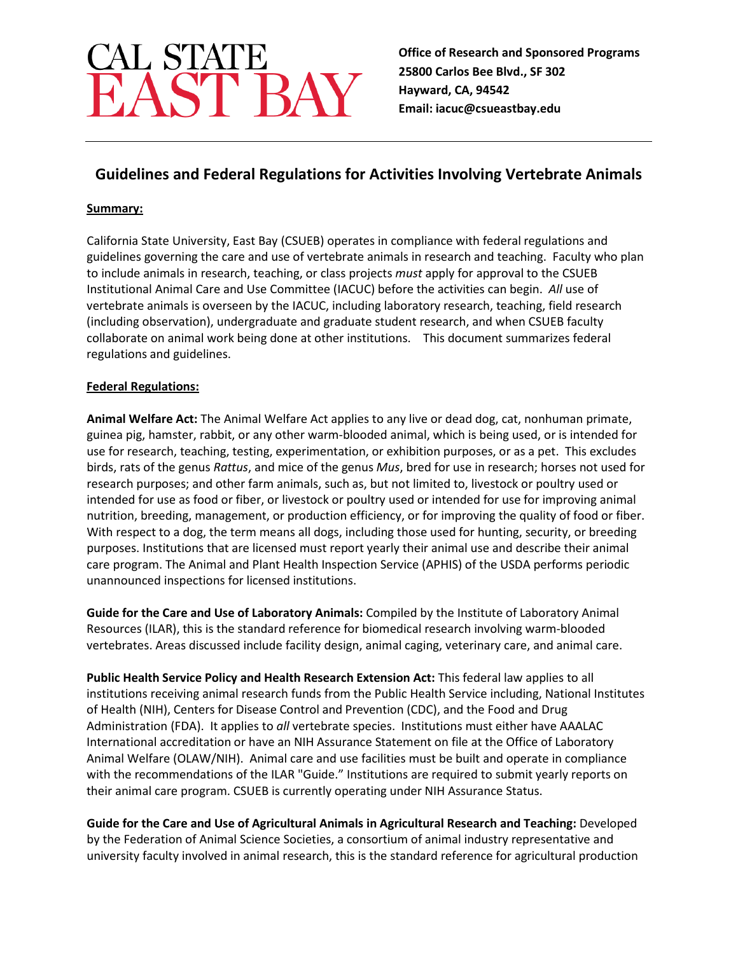# CAL STATE<br>EAST BAY

**Office of Research and Sponsored Programs 25800 Carlos Bee Blvd., SF 302 Hayward, CA, 94542 Email: iacuc@csueastbay.edu**

# **Guidelines and Federal Regulations for Activities Involving Vertebrate Animals**

## **Summary:**

California State University, East Bay (CSUEB) operates in compliance with federal regulations and guidelines governing the care and use of vertebrate animals in research and teaching. Faculty who plan to include animals in research, teaching, or class projects *must* apply for approval to the CSUEB Institutional Animal Care and Use Committee (IACUC) before the activities can begin. *All* use of vertebrate animals is overseen by the IACUC, including laboratory research, teaching, field research (including observation), undergraduate and graduate student research, and when CSUEB faculty collaborate on animal work being done at other institutions. This document summarizes federal regulations and guidelines.

### **Federal Regulations:**

**Animal Welfare Act:** The Animal Welfare Act applies to any live or dead dog, cat, nonhuman primate, guinea pig, hamster, rabbit, or any other warm-blooded animal, which is being used, or is intended for use for research, teaching, testing, experimentation, or exhibition purposes, or as a pet. This excludes birds, rats of the genus *Rattus*, and mice of the genus *Mus*, bred for use in research; horses not used for research purposes; and other farm animals, such as, but not limited to, livestock or poultry used or intended for use as food or fiber, or livestock or poultry used or intended for use for improving animal nutrition, breeding, management, or production efficiency, or for improving the quality of food or fiber. With respect to a dog, the term means all dogs, including those used for hunting, security, or breeding purposes. Institutions that are licensed must report yearly their animal use and describe their animal care program. The Animal and Plant Health Inspection Service (APHIS) of the USDA performs periodic unannounced inspections for licensed institutions.

**Guide for the Care and Use of Laboratory Animals:** Compiled by the Institute of Laboratory Animal Resources (ILAR), this is the standard reference for biomedical research involving warm-blooded vertebrates. Areas discussed include facility design, animal caging, veterinary care, and animal care.

**Public Health Service Policy and Health Research Extension Act:** This federal law applies to all institutions receiving animal research funds from the Public Health Service including, National Institutes of Health (NIH), Centers for Disease Control and Prevention (CDC), and the Food and Drug Administration (FDA). It applies to *all* vertebrate species. Institutions must either have AAALAC International accreditation or have an NIH Assurance Statement on file at the Office of Laboratory Animal Welfare (OLAW/NIH). Animal care and use facilities must be built and operate in compliance with the recommendations of the ILAR "Guide." Institutions are required to submit yearly reports on their animal care program. CSUEB is currently operating under NIH Assurance Status.

**Guide for the Care and Use of Agricultural Animals in Agricultural Research and Teaching:** Developed by the Federation of Animal Science Societies, a consortium of animal industry representative and university faculty involved in animal research, this is the standard reference for agricultural production